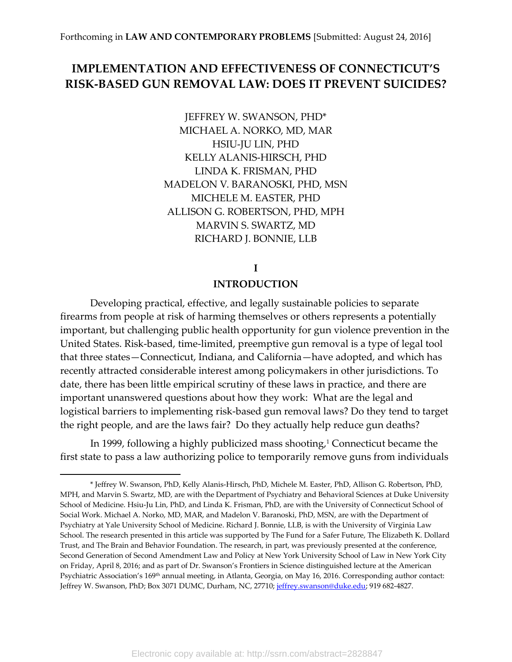## **IMPLEMENTATION AND EFFECTIVENESS OF CONNECTICUT'S RISK-BASED GUN REMOVAL LAW: DOES IT PREVENT SUICIDES?**

JEFFREY W. SWANSON, PHD\* MICHAEL A. NORKO, MD, MAR HSIU-JU LIN, PHD KELLY ALANIS-HIRSCH, PHD LINDA K. FRISMAN, PHD MADELON V. BARANOSKI, PHD, MSN MICHELE M. EASTER, PHD ALLISON G. ROBERTSON, PHD, MPH MARVIN S. SWARTZ, MD RICHARD J. BONNIE, LLB

**I**

### **INTRODUCTION**

Developing practical, effective, and legally sustainable policies to separate firearms from people at risk of harming themselves or others represents a potentially important, but challenging public health opportunity for gun violence prevention in the United States. Risk-based, time-limited, preemptive gun removal is a type of legal tool that three states—Connecticut, Indiana, and California—have adopted, and which has recently attracted considerable interest among policymakers in other jurisdictions. To date, there has been little empirical scrutiny of these laws in practice, and there are important unanswered questions about how they work: What are the legal and logistical barriers to implementing risk-based gun removal laws? Do they tend to target the right people, and are the laws fair? Do they actually help reduce gun deaths?

In 1999, following a highly publicized mass shooting, <sup>1</sup> Connecticut became the first state to pass a law authorizing police to temporarily remove guns from individuals

 $\overline{a}$ 

<sup>\*</sup> Jeffrey W. Swanson, PhD, Kelly Alanis-Hirsch, PhD, Michele M. Easter, PhD, Allison G. Robertson, PhD, MPH, and Marvin S. Swartz, MD, are with the Department of Psychiatry and Behavioral Sciences at Duke University School of Medicine. Hsiu-Ju Lin, PhD, and Linda K. Frisman, PhD, are with the University of Connecticut School of Social Work. Michael A. Norko, MD, MAR, and Madelon V. Baranoski, PhD, MSN, are with the Department of Psychiatry at Yale University School of Medicine. Richard J. Bonnie, LLB, is with the University of Virginia Law School. The research presented in this article was supported by The Fund for a Safer Future, The Elizabeth K. Dollard Trust, and The Brain and Behavior Foundation. The research, in part, was previously presented at the conference, Second Generation of Second Amendment Law and Policy at New York University School of Law in New York City on Friday, April 8, 2016; and as part of Dr. Swanson's Frontiers in Science distinguished lecture at the American Psychiatric Association's 169<sup>th</sup> annual meeting, in Atlanta, Georgia, on May 16, 2016. Corresponding author contact: Jeffrey W. Swanson, PhD; Box 3071 DUMC, Durham, NC, 27710; [jeffrey.swanson@duke.edu;](mailto:jeffrey.swanson@duke.edu) 919 682-4827.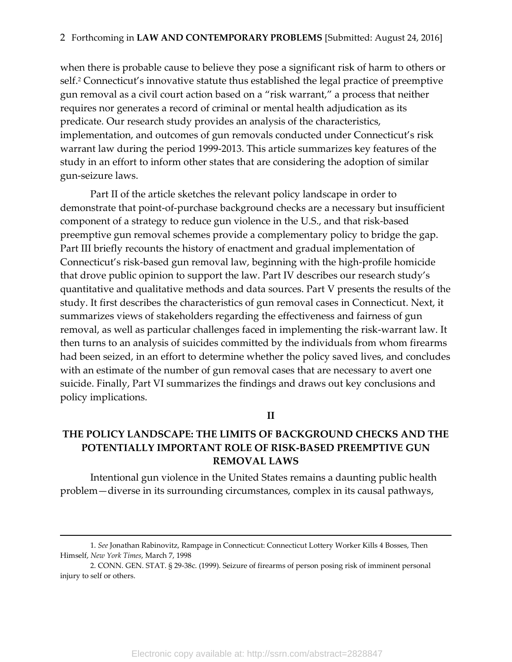when there is probable cause to believe they pose a significant risk of harm to others or self.<sup>2</sup> Connecticut's innovative statute thus established the legal practice of preemptive gun removal as a civil court action based on a "risk warrant," a process that neither requires nor generates a record of criminal or mental health adjudication as its predicate*.* Our research study provides an analysis of the characteristics, implementation, and outcomes of gun removals conducted under Connecticut's risk warrant law during the period 1999-2013. This article summarizes key features of the study in an effort to inform other states that are considering the adoption of similar gun-seizure laws.

Part II of the article sketches the relevant policy landscape in order to demonstrate that point-of-purchase background checks are a necessary but insufficient component of a strategy to reduce gun violence in the U.S., and that risk-based preemptive gun removal schemes provide a complementary policy to bridge the gap. Part III briefly recounts the history of enactment and gradual implementation of Connecticut's risk-based gun removal law, beginning with the high-profile homicide that drove public opinion to support the law. Part IV describes our research study's quantitative and qualitative methods and data sources. Part V presents the results of the study. It first describes the characteristics of gun removal cases in Connecticut. Next, it summarizes views of stakeholders regarding the effectiveness and fairness of gun removal, as well as particular challenges faced in implementing the risk-warrant law. It then turns to an analysis of suicides committed by the individuals from whom firearms had been seized, in an effort to determine whether the policy saved lives, and concludes with an estimate of the number of gun removal cases that are necessary to avert one suicide. Finally, Part VI summarizes the findings and draws out key conclusions and policy implications.

### **II**

## **THE POLICY LANDSCAPE: THE LIMITS OF BACKGROUND CHECKS AND THE POTENTIALLY IMPORTANT ROLE OF RISK-BASED PREEMPTIVE GUN REMOVAL LAWS**

Intentional gun violence in the United States remains a daunting public health problem—diverse in its surrounding circumstances, complex in its causal pathways,

<sup>1.</sup> *See* Jonathan Rabinovitz, Rampage in Connecticut: Connecticut Lottery Worker Kills 4 Bosses, Then Himself, *New York Times*, March 7, 1998

<sup>2.</sup> CONN. GEN. STAT. § 29-38c. (1999). Seizure of firearms of person posing risk of imminent personal injury to self or others.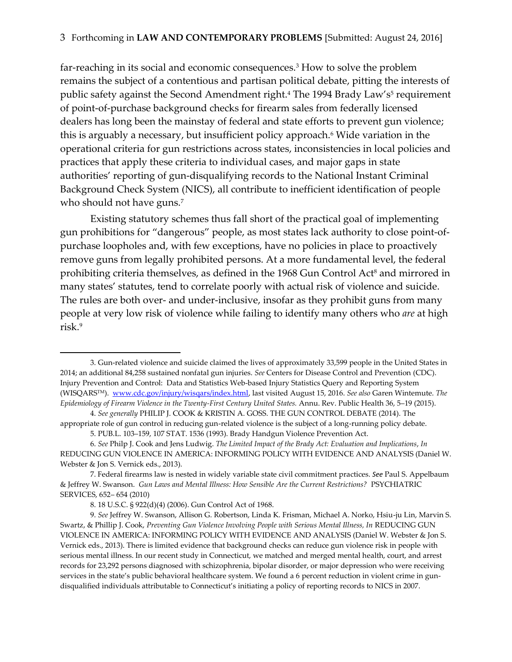far-reaching in its social and economic consequences.<sup>3</sup> How to solve the problem remains the subject of a contentious and partisan political debate, pitting the interests of public safety against the Second Amendment right.<sup>4</sup> The 1994 Brady Law's<sup>5</sup> requirement of point-of-purchase background checks for firearm sales from federally licensed dealers has long been the mainstay of federal and state efforts to prevent gun violence; this is arguably a necessary, but insufficient policy approach.<sup>6</sup> Wide variation in the operational criteria for gun restrictions across states, inconsistencies in local policies and practices that apply these criteria to individual cases, and major gaps in state authorities' reporting of gun-disqualifying records to the National Instant Criminal Background Check System (NICS), all contribute to inefficient identification of people who should not have guns.<sup>7</sup>

Existing statutory schemes thus fall short of the practical goal of implementing gun prohibitions for "dangerous" people, as most states lack authority to close point-ofpurchase loopholes and, with few exceptions, have no policies in place to proactively remove guns from legally prohibited persons. At a more fundamental level, the federal prohibiting criteria themselves, as defined in the 1968 Gun Control Act<sup>8</sup> and mirrored in many states' statutes, tend to correlate poorly with actual risk of violence and suicide. The rules are both over- and under-inclusive, insofar as they prohibit guns from many people at very low risk of violence while failing to identify many others who *are* at high risk.<sup>9</sup>

<sup>3.</sup> Gun-related violence and suicide claimed the lives of approximately 33,599 people in the United States in 2014; an additional 84,258 sustained nonfatal gun injuries. *See* Centers for Disease Control and Prevention (CDC). Injury Prevention and Control: Data and Statistics Web-based Injury Statistics Query and Reporting System (WISQARSTM). [www.cdc.gov/injury/wisqars/index.html,](http://www.cdc.gov/injury/wisqars/index.html) last visited August 15, 2016. *See also* Garen Wintemute. *The Epidemiology of Firearm Violence in the Twenty-First Century United States.* Annu. Rev. Public Health 36, 5–19 (2015).

<sup>4.</sup> *See generally* PHILIP J. COOK & KRISTIN A. GOSS. THE GUN CONTROL DEBATE (2014). The appropriate role of gun control in reducing gun-related violence is the subject of a long-running policy debate.

<sup>5.</sup> PUB.L. 103–159, 107 STAT. 1536 (1993). Brady Handgun Violence Prevention Act.

<sup>6.</sup> *See* Philp J. Cook and Jens Ludwig. *The Limited Impact of the Brady Act: Evaluation and Implications*, *In*  REDUCING GUN VIOLENCE IN AMERICA: INFORMING POLICY WITH EVIDENCE AND ANALYSIS (Daniel W. Webster & Jon S. Vernick eds., 2013).

<sup>7</sup>. Federal firearms law is nested in widely variable state civil commitment practices. *See* Paul S. Appelbaum & Jeffrey W. Swanson. *Gun Laws and Mental Illness: How Sensible Are the Current Restrictions?* PSYCHIATRIC SERVICES, 652– 654 (2010)

<sup>8. 18</sup> U.S.C. § 922(d)(4) (2006). Gun Control Act of 1968.

<sup>9.</sup> *See* Jeffrey W. Swanson, Allison G. Robertson, Linda K. Frisman, Michael A. Norko, Hsiu-ju Lin, Marvin S. Swartz, & Phillip J. Cook, *Preventing Gun Violence Involving People with Serious Mental Illness, In* REDUCING GUN VIOLENCE IN AMERICA: INFORMING POLICY WITH EVIDENCE AND ANALYSIS (Daniel W. Webster & Jon S. Vernick eds., 2013). There is limited evidence that background checks can reduce gun violence risk in people with serious mental illness. In our recent study in Connecticut, we matched and merged mental health, court, and arrest records for 23,292 persons diagnosed with schizophrenia, bipolar disorder, or major depression who were receiving services in the state's public behavioral healthcare system. We found a 6 percent reduction in violent crime in gundisqualified individuals attributable to Connecticut's initiating a policy of reporting records to NICS in 2007.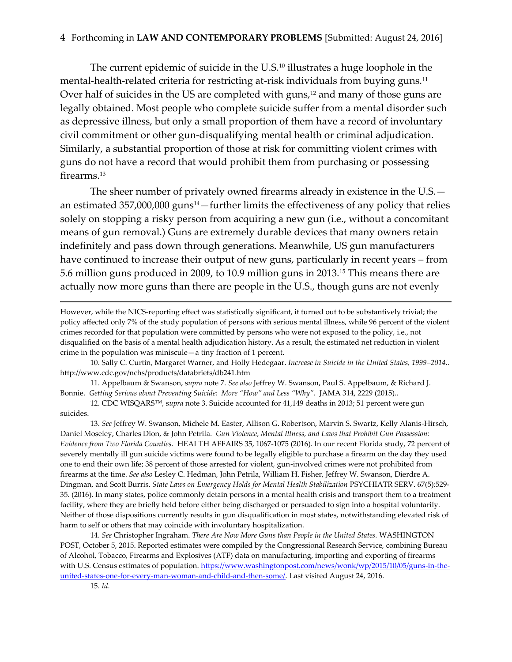The current epidemic of suicide in the U.S. <sup>10</sup> illustrates a huge loophole in the mental-health-related criteria for restricting at-risk individuals from buying guns.<sup>11</sup> Over half of suicides in the US are completed with guns, $12$  and many of those guns are legally obtained. Most people who complete suicide suffer from a mental disorder such as depressive illness, but only a small proportion of them have a record of involuntary civil commitment or other gun-disqualifying mental health or criminal adjudication. Similarly, a substantial proportion of those at risk for committing violent crimes with guns do not have a record that would prohibit them from purchasing or possessing firearms.<sup>13</sup>

The sheer number of privately owned firearms already in existence in the U.S. an estimated 357,000,000 guns<sup>14</sup> - further limits the effectiveness of any policy that relies solely on stopping a risky person from acquiring a new gun (i.e., without a concomitant means of gun removal.) Guns are extremely durable devices that many owners retain indefinitely and pass down through generations. Meanwhile, US gun manufacturers have continued to increase their output of new guns, particularly in recent years – from 5.6 million guns produced in 2009, to 10.9 million guns in 2013.<sup>15</sup> This means there are actually now more guns than there are people in the U.S., though guns are not evenly

11. Appelbaum & Swanson, s*upra* note 7. *See also* Jeffrey W. Swanson, Paul S. Appelbaum, & Richard J. Bonnie. *Getting Serious about Preventing Suicide: More "How" and Less "Why".* JAMA 314, 2229 (2015)..

12. CDC WISQARS™, s*upra* note 3. Suicide accounted for 41,149 deaths in 2013; 51 percent were gun suicides.

13. *See* Jeffrey W. Swanson, Michele M. Easter, Allison G. Robertson, Marvin S. Swartz, Kelly Alanis-Hirsch, Daniel Moseley, Charles Dion, & John Petrila. *Gun Violence, Mental Illness, and Laws that Prohibit Gun Possession: Evidence from Two Florida Counties*. HEALTH AFFAIRS 35, 1067-1075 (2016). In our recent Florida study, 72 percent of severely mentally ill gun suicide victims were found to be legally eligible to purchase a firearm on the day they used one to end their own life; 38 percent of those arrested for violent, gun-involved crimes were not prohibited from firearms at the time. *See also* Lesley C. Hedman, John Petrila, William H. Fisher, Jeffrey W. Swanson, Dierdre A. Dingman, and Scott Burris. *State Laws on Emergency Holds for Mental Health Stabilization* PSYCHIATR SERV. 67(5):529- 35. (2016). In many states, police commonly detain persons in a mental health crisis and transport them to a treatment facility, where they are briefly held before either being discharged or persuaded to sign into a hospital voluntarily. Neither of those dispositions currently results in gun disqualification in most states, notwithstanding elevated risk of harm to self or others that may coincide with involuntary hospitalization.

14. *See* Christopher Ingraham. *There Are Now More Guns than People in the United States.* WASHINGTON POST, October 5, 2015. Reported estimates were compiled by the Congressional Research Service, combining Bureau of Alcohol, Tobacco, Firearms and Explosives (ATF) data on manufacturing, importing and exporting of firearms with U.S. Census estimates of population. [https://www.washingtonpost.com/news/wonk/wp/2015/10/05/guns-in-the](https://www.washingtonpost.com/news/wonk/wp/2015/10/05/guns-in-the-united-states-one-for-every-man-woman-and-child-and-then-some/)[united-states-one-for-every-man-woman-and-child-and-then-some/.](https://www.washingtonpost.com/news/wonk/wp/2015/10/05/guns-in-the-united-states-one-for-every-man-woman-and-child-and-then-some/) Last visited August 24, 2016.

However, while the NICS-reporting effect was statistically significant, it turned out to be substantively trivial; the policy affected only 7% of the study population of persons with serious mental illness, while 96 percent of the violent crimes recorded for that population were committed by persons who were not exposed to the policy, i.e., not disqualified on the basis of a mental health adjudication history. As a result, the estimated net reduction in violent crime in the population was miniscule—a tiny fraction of 1 percent.

<sup>10.</sup> Sally C. Curtin, Margaret Warner, and Holly Hedegaar. *Increase in Suicide in the United States, 1999–2014..* http://www.cdc.gov/nchs/products/databriefs/db241.htm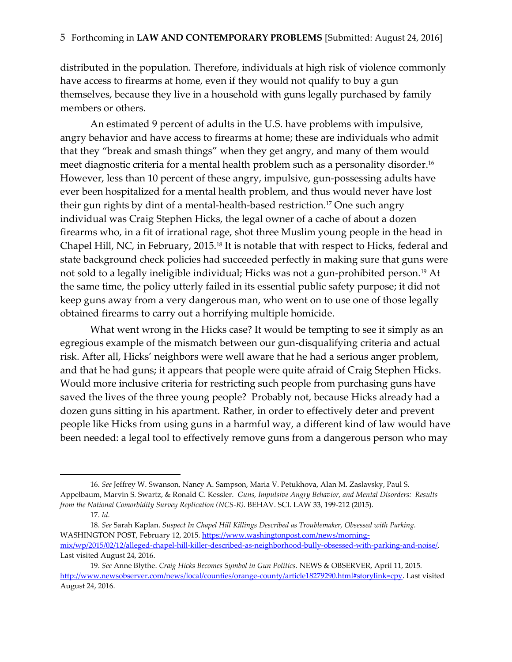distributed in the population. Therefore, individuals at high risk of violence commonly have access to firearms at home, even if they would not qualify to buy a gun themselves, because they live in a household with guns legally purchased by family members or others.

An estimated 9 percent of adults in the U.S. have problems with impulsive, angry behavior and have access to firearms at home; these are individuals who admit that they "break and smash things" when they get angry, and many of them would meet diagnostic criteria for a mental health problem such as a personality disorder.<sup>16</sup> However, less than 10 percent of these angry, impulsive, gun-possessing adults have ever been hospitalized for a mental health problem, and thus would never have lost their gun rights by dint of a mental-health-based restriction.<sup>17</sup> One such angry individual was Craig Stephen Hicks, the legal owner of a cache of about a dozen firearms who, in a fit of irrational rage, shot three Muslim young people in the head in Chapel Hill, NC, in February, 2015.<sup>18</sup> It is notable that with respect to Hicks, federal and state background check policies had succeeded perfectly in making sure that guns were not sold to a legally ineligible individual; Hicks was not a gun-prohibited person.<sup>19</sup> At the same time, the policy utterly failed in its essential public safety purpose; it did not keep guns away from a very dangerous man, who went on to use one of those legally obtained firearms to carry out a horrifying multiple homicide.

What went wrong in the Hicks case? It would be tempting to see it simply as an egregious example of the mismatch between our gun-disqualifying criteria and actual risk. After all, Hicks' neighbors were well aware that he had a serious anger problem, and that he had guns; it appears that people were quite afraid of Craig Stephen Hicks. Would more inclusive criteria for restricting such people from purchasing guns have saved the lives of the three young people? Probably not, because Hicks already had a dozen guns sitting in his apartment. Rather, in order to effectively deter and prevent people like Hicks from using guns in a harmful way, a different kind of law would have been needed: a legal tool to effectively remove guns from a dangerous person who may

 $\overline{a}$ 

<sup>16.</sup> *See* Jeffrey W. Swanson, Nancy A. Sampson, Maria V. Petukhova, Alan M. Zaslavsky, Paul S. Appelbaum, Marvin S. Swartz, & Ronald C. Kessler. *Guns, Impulsive Angry Behavior, and Mental Disorders: Results from the National Comorbidity Survey Replication (NCS-R)*. BEHAV. SCI. LAW 33, 199-212 (2015).

<sup>17.</sup> *Id.*

<sup>18.</sup> *See* Sarah Kaplan. *Suspect In Chapel Hill Killings Described as Troublemaker, Obsessed with Parking.* WASHINGTON POST, February 12, 2015. [https://www.washingtonpost.com/news/morning](https://www.washingtonpost.com/news/morning-mix/wp/2015/02/12/alleged-chapel-hill-killer-described-as-neighborhood-bully-obsessed-with-parking-and-noise/)[mix/wp/2015/02/12/alleged-chapel-hill-killer-described-as-neighborhood-bully-obsessed-with-parking-and-noise/.](https://www.washingtonpost.com/news/morning-mix/wp/2015/02/12/alleged-chapel-hill-killer-described-as-neighborhood-bully-obsessed-with-parking-and-noise/)  Last visited August 24, 2016.

<sup>19.</sup> *See* Anne Blythe. *Craig Hicks Becomes Symbol in Gun Politics.* NEWS & OBSERVER, April 11, 2015. [http://www.newsobserver.com/news/local/counties/orange-county/article18279290.html#storylink=cpy.](http://www.newsobserver.com/news/local/counties/orange-county/article18279290.html#storylink=cpy) Last visited August 24, 2016.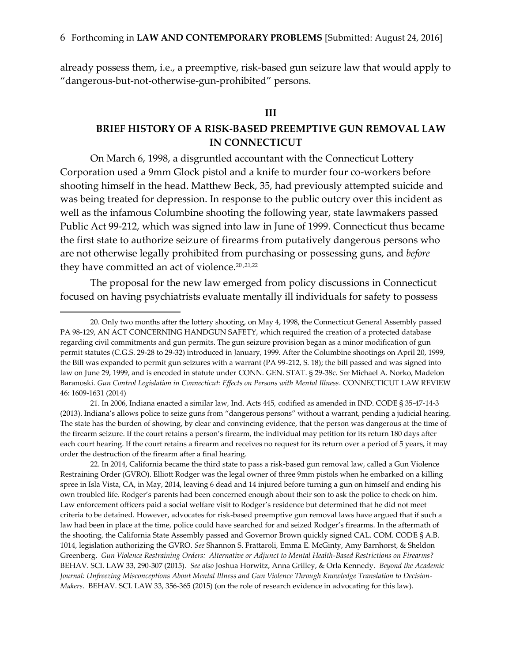already possess them, i.e., a preemptive, risk-based gun seizure law that would apply to "dangerous-but-not-otherwise-gun-prohibited" persons.

#### **III**

## **BRIEF HISTORY OF A RISK-BASED PREEMPTIVE GUN REMOVAL LAW IN CONNECTICUT**

On March 6, 1998, a disgruntled accountant with the Connecticut Lottery Corporation used a 9mm Glock pistol and a knife to murder four co-workers before shooting himself in the head. Matthew Beck, 35, had previously attempted suicide and was being treated for depression. In response to the public outcry over this incident as well as the infamous Columbine shooting the following year, state lawmakers passed Public Act 99-212, which was signed into law in June of 1999. Connecticut thus became the first state to authorize seizure of firearms from putatively dangerous persons who are not otherwise legally prohibited from purchasing or possessing guns, and *before* they have committed an act of violence. 20 ,21,22

The proposal for the new law emerged from policy discussions in Connecticut focused on having psychiatrists evaluate mentally ill individuals for safety to possess

 $\overline{a}$ 

21. In 2006, Indiana enacted a similar law, Ind. Acts 445, codified as amended in IND. CODE § 35-47-14-3 (2013). Indiana's allows police to seize guns from "dangerous persons" without a warrant, pending a judicial hearing. The state has the burden of showing, by clear and convincing evidence, that the person was dangerous at the time of the firearm seizure. If the court retains a person's firearm, the individual may petition for its return 180 days after each court hearing. If the court retains a firearm and receives no request for its return over a period of 5 years, it may order the destruction of the firearm after a final hearing.

22. In 2014, California became the third state to pass a risk-based gun removal law, called a Gun Violence Restraining Order (GVRO). Elliott Rodger was the legal owner of three 9mm pistols when he embarked on a killing spree in Isla Vista, CA, in May, 2014, leaving 6 dead and 14 injured before turning a gun on himself and ending his own troubled life. Rodger's parents had been concerned enough about their son to ask the police to check on him. Law enforcement officers paid a social welfare visit to Rodger's residence but determined that he did not meet criteria to be detained. However, advocates for risk-based preemptive gun removal laws have argued that if such a law had been in place at the time, police could have searched for and seized Rodger's firearms. In the aftermath of the shooting, the California State Assembly passed and Governor Brown quickly signed CAL. COM. CODE § A.B. 1014, legislation authorizing the GVRO. *See* Shannon S. Frattaroli, Emma E. McGinty, Amy Barnhorst, & Sheldon Greenberg. *Gun Violence Restraining Orders: Alternative or Adjunct to Mental Health-Based Restrictions on Firearms?* BEHAV. SCI. LAW 33, 290-307 (2015). *See also* Joshua Horwitz, Anna Grilley, & Orla Kennedy. *Beyond the Academic Journal: Unfreezing Misconceptions About Mental Illness and Gun Violence Through Knowledge Translation to Decision-Makers*.BEHAV. SCI. LAW 33, 356-365 (2015) (on the role of research evidence in advocating for this law).

<sup>20.</sup> Only two months after the lottery shooting, on May 4, 1998, the Connecticut General Assembly passed PA 98-129, AN ACT CONCERNING HANDGUN SAFETY, which required the creation of a protected database regarding civil commitments and gun permits. The gun seizure provision began as a minor modification of gun permit statutes (C.G.S. 29-28 to 29-32) introduced in January, 1999. After the Columbine shootings on April 20, 1999, the Bill was expanded to permit gun seizures with a warrant (PA 99-212, S. 18); the bill passed and was signed into law on June 29, 1999, and is encoded in statute under CONN. GEN. STAT. § 29-38c. *See* Michael A. Norko, Madelon Baranoski. *Gun Control Legislation in Connecticut: Effects on Persons with Mental Illness*. CONNECTICUT LAW REVIEW 46: 1609-1631 (2014)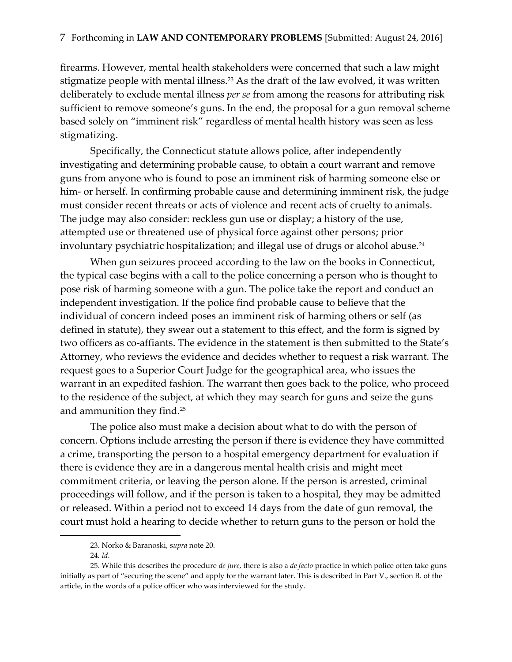firearms. However, mental health stakeholders were concerned that such a law might stigmatize people with mental illness.<sup>23</sup> As the draft of the law evolved, it was written deliberately to exclude mental illness *per se* from among the reasons for attributing risk sufficient to remove someone's guns. In the end, the proposal for a gun removal scheme based solely on "imminent risk" regardless of mental health history was seen as less stigmatizing.

Specifically, the Connecticut statute allows police, after independently investigating and determining probable cause, to obtain a court warrant and remove guns from anyone who is found to pose an imminent risk of harming someone else or him- or herself. In confirming probable cause and determining imminent risk, the judge must consider recent threats or acts of violence and recent acts of cruelty to animals. The judge may also consider: reckless gun use or display; a history of the use, attempted use or threatened use of physical force against other persons; prior involuntary psychiatric hospitalization; and illegal use of drugs or alcohol abuse.<sup>24</sup>

When gun seizures proceed according to the law on the books in Connecticut, the typical case begins with a call to the police concerning a person who is thought to pose risk of harming someone with a gun. The police take the report and conduct an independent investigation. If the police find probable cause to believe that the individual of concern indeed poses an imminent risk of harming others or self (as defined in statute), they swear out a statement to this effect, and the form is signed by two officers as co-affiants. The evidence in the statement is then submitted to the State's Attorney, who reviews the evidence and decides whether to request a risk warrant. The request goes to a Superior Court Judge for the geographical area, who issues the warrant in an expedited fashion. The warrant then goes back to the police, who proceed to the residence of the subject, at which they may search for guns and seize the guns and ammunition they find.<sup>25</sup>

The police also must make a decision about what to do with the person of concern. Options include arresting the person if there is evidence they have committed a crime, transporting the person to a hospital emergency department for evaluation if there is evidence they are in a dangerous mental health crisis and might meet commitment criteria, or leaving the person alone. If the person is arrested, criminal proceedings will follow, and if the person is taken to a hospital, they may be admitted or released. Within a period not to exceed 14 days from the date of gun removal, the court must hold a hearing to decide whether to return guns to the person or hold the

<sup>23.</sup> Norko & Baranoski, s*upra* note 20.

<sup>24</sup>*. Id.*

<sup>25.</sup> While this describes the procedure *de jure*, there is also a *de facto* practice in which police often take guns initially as part of "securing the scene" and apply for the warrant later. This is described in Part V., section B. of the article, in the words of a police officer who was interviewed for the study.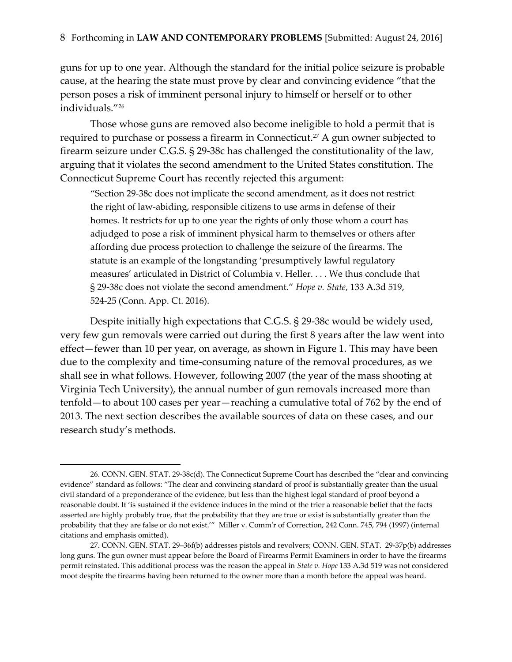guns for up to one year. Although the standard for the initial police seizure is probable cause, at the hearing the state must prove by clear and convincing evidence "that the person poses a risk of imminent personal injury to himself or herself or to other individuals."<sup>26</sup>

Those whose guns are removed also become ineligible to hold a permit that is required to purchase or possess a firearm in Connecticut.<sup>27</sup> A gun owner subjected to firearm seizure under C.G.S. § 29-38c has challenged the constitutionality of the law, arguing that it violates the second amendment to the United States constitution. The Connecticut Supreme Court has recently rejected this argument:

"Section 29-38c does not implicate the second amendment, as it does not restrict the right of law-abiding, responsible citizens to use arms in defense of their homes. It restricts for up to one year the rights of only those whom a court has adjudged to pose a risk of imminent physical harm to themselves or others after affording due process protection to challenge the seizure of the firearms. The statute is an example of the longstanding 'presumptively lawful regulatory measures' articulated in District of Columbia v. Heller. . . . We thus conclude that § 29-38c does not violate the second amendment." *Hope v. State*, 133 A.3d 519, 524-25 (Conn. App. Ct. 2016).

Despite initially high expectations that C.G.S. § 29-38c would be widely used, very few gun removals were carried out during the first 8 years after the law went into effect—fewer than 10 per year, on average, as shown in Figure 1. This may have been due to the complexity and time-consuming nature of the removal procedures, as we shall see in what follows. However, following 2007 (the year of the mass shooting at Virginia Tech University), the annual number of gun removals increased more than tenfold—to about 100 cases per year—reaching a cumulative total of 762 by the end of 2013. The next section describes the available sources of data on these cases, and our research study's methods.

<sup>26.</sup> CONN. GEN. STAT. 29-38c(d). The Connecticut Supreme Court has described the "clear and convincing evidence" standard as follows: "The clear and convincing standard of proof is substantially greater than the usual civil standard of a preponderance of the evidence, but less than the highest legal standard of proof beyond a reasonable doubt. It 'is sustained if the evidence induces in the mind of the trier a reasonable belief that the facts asserted are highly probably true, that the probability that they are true or exist is substantially greater than the probability that they are false or do not exist.'" Miller v. Comm'r of Correction, 242 Conn. 745, 794 (1997) (internal citations and emphasis omitted).

<sup>27.</sup> CONN. GEN. STAT. 29–36f(b) addresses pistols and revolvers; CONN. GEN. STAT. 29-37p(b) addresses long guns. The gun owner must appear before the Board of Firearms Permit Examiners in order to have the firearms permit reinstated. This additional process was the reason the appeal in *State v. Hope* 133 A.3d 519 was not considered moot despite the firearms having been returned to the owner more than a month before the appeal was heard.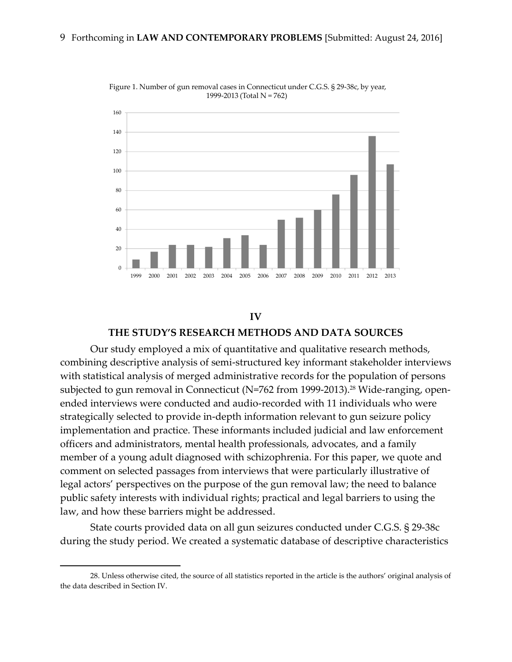

Figure 1. Number of gun removal cases in Connecticut under C.G.S. § 29-38c, by year, 1999-2013 (Total N = 762)

### **IV THE STUDY'S RESEARCH METHODS AND DATA SOURCES**

Our study employed a mix of quantitative and qualitative research methods, combining descriptive analysis of semi-structured key informant stakeholder interviews with statistical analysis of merged administrative records for the population of persons subjected to gun removal in Connecticut (N=762 from 1999-2013).<sup>28</sup> Wide-ranging, openended interviews were conducted and audio-recorded with 11 individuals who were strategically selected to provide in-depth information relevant to gun seizure policy implementation and practice. These informants included judicial and law enforcement officers and administrators, mental health professionals, advocates, and a family member of a young adult diagnosed with schizophrenia. For this paper, we quote and comment on selected passages from interviews that were particularly illustrative of legal actors' perspectives on the purpose of the gun removal law; the need to balance public safety interests with individual rights; practical and legal barriers to using the law, and how these barriers might be addressed.

State courts provided data on all gun seizures conducted under C.G.S. § 29-38c during the study period. We created a systematic database of descriptive characteristics

<sup>28.</sup> Unless otherwise cited, the source of all statistics reported in the article is the authors' original analysis of the data described in Section IV.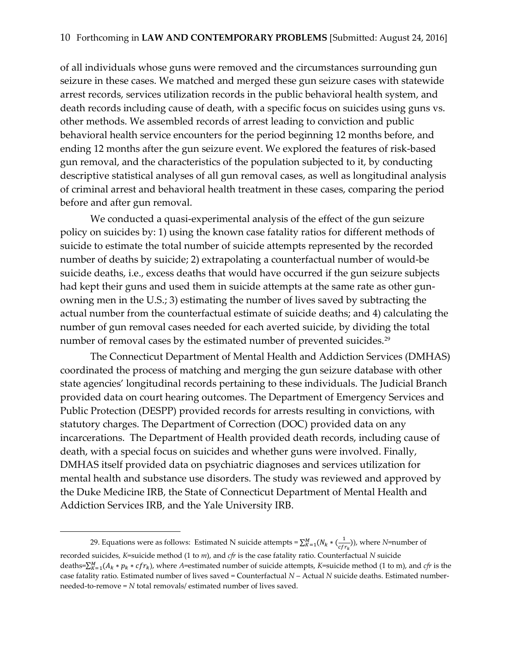of all individuals whose guns were removed and the circumstances surrounding gun seizure in these cases. We matched and merged these gun seizure cases with statewide arrest records, services utilization records in the public behavioral health system, and death records including cause of death, with a specific focus on suicides using guns vs. other methods. We assembled records of arrest leading to conviction and public behavioral health service encounters for the period beginning 12 months before, and ending 12 months after the gun seizure event. We explored the features of risk-based gun removal, and the characteristics of the population subjected to it, by conducting descriptive statistical analyses of all gun removal cases, as well as longitudinal analysis of criminal arrest and behavioral health treatment in these cases, comparing the period before and after gun removal.

We conducted a quasi-experimental analysis of the effect of the gun seizure policy on suicides by: 1) using the known case fatality ratios for different methods of suicide to estimate the total number of suicide attempts represented by the recorded number of deaths by suicide; 2) extrapolating a counterfactual number of would-be suicide deaths, i.e., excess deaths that would have occurred if the gun seizure subjects had kept their guns and used them in suicide attempts at the same rate as other gunowning men in the U.S.; 3) estimating the number of lives saved by subtracting the actual number from the counterfactual estimate of suicide deaths; and 4) calculating the number of gun removal cases needed for each averted suicide, by dividing the total number of removal cases by the estimated number of prevented suicides. $^{\rm 29}$ 

The Connecticut Department of Mental Health and Addiction Services (DMHAS) coordinated the process of matching and merging the gun seizure database with other state agencies' longitudinal records pertaining to these individuals. The Judicial Branch provided data on court hearing outcomes. The Department of Emergency Services and Public Protection (DESPP) provided records for arrests resulting in convictions, with statutory charges. The Department of Correction (DOC) provided data on any incarcerations. The Department of Health provided death records, including cause of death, with a special focus on suicides and whether guns were involved. Finally, DMHAS itself provided data on psychiatric diagnoses and services utilization for mental health and substance use disorders. The study was reviewed and approved by the Duke Medicine IRB, the State of Connecticut Department of Mental Health and Addiction Services IRB, and the Yale University IRB.

<sup>29.</sup> Equations were as follows: Estimated N suicide attempts =  $\sum_{K=1}^{M} (N_k * (\frac{1}{c_K})^2)$  $\frac{1}{cfr_k}$ )), where *N*=number of recorded suicides, *K*=suicide method (1 to *m*), and *cfr* is the case fatality ratio. Counterfactual *N* suicide deaths= $\sum_{K=1}^{M}(A_k * p_k * cfr_k)$ , where A=estimated number of suicide attempts, K=suicide method (1 to m), and *cfr* is the case fatality ratio. Estimated number of lives saved = Counterfactual *N* – Actual *N* suicide deaths. Estimated numberneeded-to-remove = *N* total removals/ estimated number of lives saved.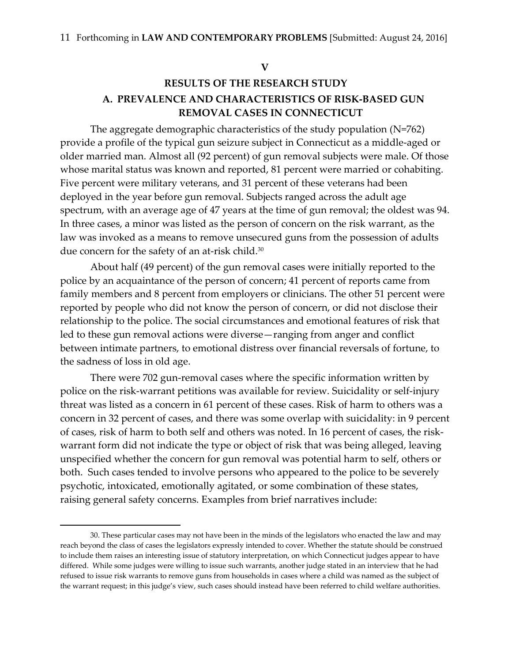**V**

# **RESULTS OF THE RESEARCH STUDY A. PREVALENCE AND CHARACTERISTICS OF RISK-BASED GUN REMOVAL CASES IN CONNECTICUT**

The aggregate demographic characteristics of the study population (N=762) provide a profile of the typical gun seizure subject in Connecticut as a middle-aged or older married man. Almost all (92 percent) of gun removal subjects were male. Of those whose marital status was known and reported, 81 percent were married or cohabiting. Five percent were military veterans, and 31 percent of these veterans had been deployed in the year before gun removal. Subjects ranged across the adult age spectrum, with an average age of 47 years at the time of gun removal; the oldest was 94. In three cases, a minor was listed as the person of concern on the risk warrant, as the law was invoked as a means to remove unsecured guns from the possession of adults due concern for the safety of an at-risk child. $^{\rm 30}$ 

About half (49 percent) of the gun removal cases were initially reported to the police by an acquaintance of the person of concern; 41 percent of reports came from family members and 8 percent from employers or clinicians. The other 51 percent were reported by people who did not know the person of concern, or did not disclose their relationship to the police. The social circumstances and emotional features of risk that led to these gun removal actions were diverse—ranging from anger and conflict between intimate partners, to emotional distress over financial reversals of fortune, to the sadness of loss in old age.

There were 702 gun-removal cases where the specific information written by police on the risk-warrant petitions was available for review. Suicidality or self-injury threat was listed as a concern in 61 percent of these cases. Risk of harm to others was a concern in 32 percent of cases, and there was some overlap with suicidality: in 9 percent of cases, risk of harm to both self and others was noted. In 16 percent of cases, the riskwarrant form did not indicate the type or object of risk that was being alleged, leaving unspecified whether the concern for gun removal was potential harm to self, others or both. Such cases tended to involve persons who appeared to the police to be severely psychotic, intoxicated, emotionally agitated, or some combination of these states, raising general safety concerns. Examples from brief narratives include:

 $\overline{a}$ 

<sup>30.</sup> These particular cases may not have been in the minds of the legislators who enacted the law and may reach beyond the class of cases the legislators expressly intended to cover. Whether the statute should be construed to include them raises an interesting issue of statutory interpretation, on which Connecticut judges appear to have differed. While some judges were willing to issue such warrants, another judge stated in an interview that he had refused to issue risk warrants to remove guns from households in cases where a child was named as the subject of the warrant request; in this judge's view, such cases should instead have been referred to child welfare authorities.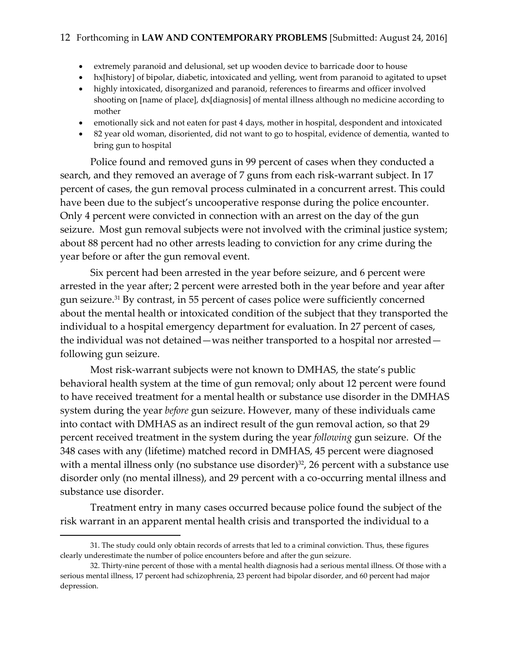### 12 Forthcoming in **LAW AND CONTEMPORARY PROBLEMS** [Submitted: August 24, 2016]

- extremely paranoid and delusional, set up wooden device to barricade door to house
- hx[history] of bipolar, diabetic, intoxicated and yelling, went from paranoid to agitated to upset
- highly intoxicated, disorganized and paranoid, references to firearms and officer involved shooting on [name of place], dx[diagnosis] of mental illness although no medicine according to mother
- emotionally sick and not eaten for past 4 days, mother in hospital, despondent and intoxicated
- 82 year old woman, disoriented, did not want to go to hospital, evidence of dementia, wanted to bring gun to hospital

Police found and removed guns in 99 percent of cases when they conducted a search, and they removed an average of 7 guns from each risk-warrant subject. In 17 percent of cases, the gun removal process culminated in a concurrent arrest. This could have been due to the subject's uncooperative response during the police encounter. Only 4 percent were convicted in connection with an arrest on the day of the gun seizure. Most gun removal subjects were not involved with the criminal justice system; about 88 percent had no other arrests leading to conviction for any crime during the year before or after the gun removal event.

Six percent had been arrested in the year before seizure, and 6 percent were arrested in the year after; 2 percent were arrested both in the year before and year after gun seizure. <sup>31</sup> By contrast, in 55 percent of cases police were sufficiently concerned about the mental health or intoxicated condition of the subject that they transported the individual to a hospital emergency department for evaluation. In 27 percent of cases, the individual was not detained—was neither transported to a hospital nor arrested following gun seizure.

Most risk-warrant subjects were not known to DMHAS, the state's public behavioral health system at the time of gun removal; only about 12 percent were found to have received treatment for a mental health or substance use disorder in the DMHAS system during the year *before* gun seizure. However, many of these individuals came into contact with DMHAS as an indirect result of the gun removal action, so that 29 percent received treatment in the system during the year *following* gun seizure. Of the 348 cases with any (lifetime) matched record in DMHAS, 45 percent were diagnosed with a mental illness only (no substance use disorder) $32$ , 26 percent with a substance use disorder only (no mental illness), and 29 percent with a co-occurring mental illness and substance use disorder.

Treatment entry in many cases occurred because police found the subject of the risk warrant in an apparent mental health crisis and transported the individual to a

<sup>31.</sup> The study could only obtain records of arrests that led to a criminal conviction. Thus, these figures clearly underestimate the number of police encounters before and after the gun seizure.

<sup>32.</sup> Thirty-nine percent of those with a mental health diagnosis had a serious mental illness. Of those with a serious mental illness, 17 percent had schizophrenia, 23 percent had bipolar disorder, and 60 percent had major depression.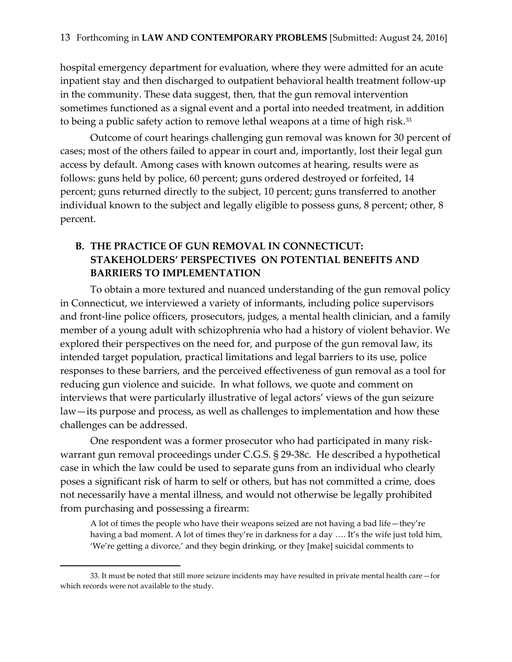hospital emergency department for evaluation, where they were admitted for an acute inpatient stay and then discharged to outpatient behavioral health treatment follow-up in the community. These data suggest, then, that the gun removal intervention sometimes functioned as a signal event and a portal into needed treatment, in addition to being a public safety action to remove lethal weapons at a time of high risk. $^{\scriptscriptstyle 33}$ 

Outcome of court hearings challenging gun removal was known for 30 percent of cases; most of the others failed to appear in court and, importantly, lost their legal gun access by default. Among cases with known outcomes at hearing, results were as follows: guns held by police, 60 percent; guns ordered destroyed or forfeited, 14 percent; guns returned directly to the subject, 10 percent; guns transferred to another individual known to the subject and legally eligible to possess guns, 8 percent; other, 8 percent.

## **B. THE PRACTICE OF GUN REMOVAL IN CONNECTICUT: STAKEHOLDERS' PERSPECTIVES ON POTENTIAL BENEFITS AND BARRIERS TO IMPLEMENTATION**

To obtain a more textured and nuanced understanding of the gun removal policy in Connecticut, we interviewed a variety of informants, including police supervisors and front-line police officers, prosecutors, judges, a mental health clinician, and a family member of a young adult with schizophrenia who had a history of violent behavior. We explored their perspectives on the need for, and purpose of the gun removal law, its intended target population, practical limitations and legal barriers to its use, police responses to these barriers, and the perceived effectiveness of gun removal as a tool for reducing gun violence and suicide. In what follows, we quote and comment on interviews that were particularly illustrative of legal actors' views of the gun seizure law—its purpose and process, as well as challenges to implementation and how these challenges can be addressed.

One respondent was a former prosecutor who had participated in many riskwarrant gun removal proceedings under C.G.S. § 29-38c. He described a hypothetical case in which the law could be used to separate guns from an individual who clearly poses a significant risk of harm to self or others, but has not committed a crime, does not necessarily have a mental illness, and would not otherwise be legally prohibited from purchasing and possessing a firearm:

A lot of times the people who have their weapons seized are not having a bad life—they're having a bad moment. A lot of times they're in darkness for a day .... It's the wife just told him, 'We're getting a divorce,' and they begin drinking, or they [make] suicidal comments to

<sup>33.</sup> It must be noted that still more seizure incidents may have resulted in private mental health care—for which records were not available to the study.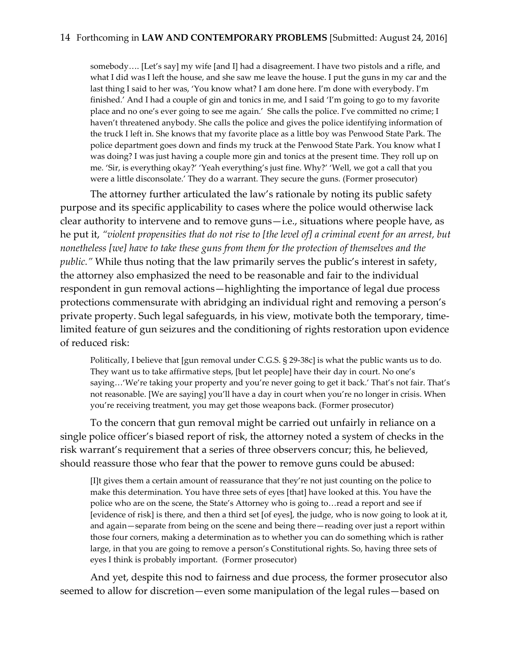somebody…. [Let's say] my wife [and I] had a disagreement. I have two pistols and a rifle, and what I did was I left the house, and she saw me leave the house. I put the guns in my car and the last thing I said to her was, 'You know what? I am done here. I'm done with everybody. I'm finished.' And I had a couple of gin and tonics in me, and I said 'I'm going to go to my favorite place and no one's ever going to see me again.' She calls the police. I've committed no crime; I haven't threatened anybody. She calls the police and gives the police identifying information of the truck I left in. She knows that my favorite place as a little boy was Penwood State Park. The police department goes down and finds my truck at the Penwood State Park. You know what I was doing? I was just having a couple more gin and tonics at the present time. They roll up on me. 'Sir, is everything okay?' 'Yeah everything's just fine. Why?' 'Well, we got a call that you were a little disconsolate.' They do a warrant. They secure the guns. (Former prosecutor)

The attorney further articulated the law's rationale by noting its public safety purpose and its specific applicability to cases where the police would otherwise lack clear authority to intervene and to remove guns—i.e., situations where people have, as he put it, *"violent propensities that do not rise to [the level of] a criminal event for an arrest, but nonetheless [we] have to take these guns from them for the protection of themselves and the public."* While thus noting that the law primarily serves the public's interest in safety, the attorney also emphasized the need to be reasonable and fair to the individual respondent in gun removal actions—highlighting the importance of legal due process protections commensurate with abridging an individual right and removing a person's private property. Such legal safeguards, in his view, motivate both the temporary, timelimited feature of gun seizures and the conditioning of rights restoration upon evidence of reduced risk:

Politically, I believe that [gun removal under C.G.S. § 29-38c] is what the public wants us to do. They want us to take affirmative steps, [but let people] have their day in court. No one's saying...'We're taking your property and you're never going to get it back.' That's not fair. That's not reasonable. [We are saying] you'll have a day in court when you're no longer in crisis. When you're receiving treatment, you may get those weapons back. (Former prosecutor)

To the concern that gun removal might be carried out unfairly in reliance on a single police officer's biased report of risk, the attorney noted a system of checks in the risk warrant's requirement that a series of three observers concur; this, he believed, should reassure those who fear that the power to remove guns could be abused:

[I]t gives them a certain amount of reassurance that they're not just counting on the police to make this determination. You have three sets of eyes [that] have looked at this. You have the police who are on the scene, the State's Attorney who is going to…read a report and see if [evidence of risk] is there, and then a third set [of eyes], the judge, who is now going to look at it, and again—separate from being on the scene and being there—reading over just a report within those four corners, making a determination as to whether you can do something which is rather large, in that you are going to remove a person's Constitutional rights. So, having three sets of eyes I think is probably important. (Former prosecutor)

And yet, despite this nod to fairness and due process, the former prosecutor also seemed to allow for discretion—even some manipulation of the legal rules—based on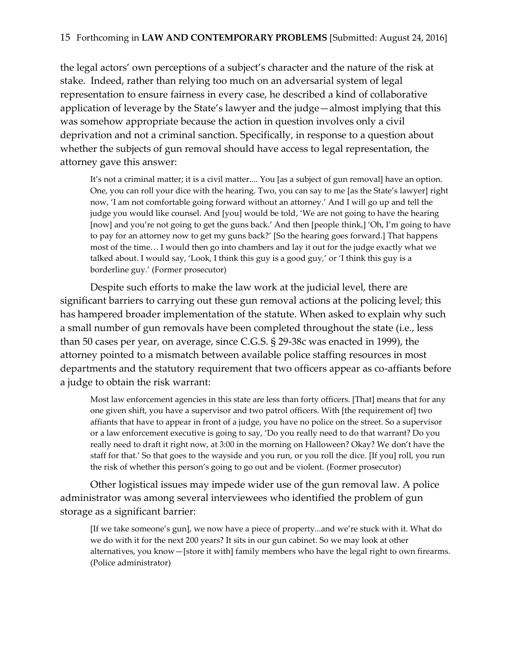the legal actors' own perceptions of a subject's character and the nature of the risk at stake. Indeed, rather than relying too much on an adversarial system of legal representation to ensure fairness in every case, he described a kind of collaborative application of leverage by the State's lawyer and the judge—almost implying that this was somehow appropriate because the action in question involves only a civil deprivation and not a criminal sanction. Specifically, in response to a question about whether the subjects of gun removal should have access to legal representation, the attorney gave this answer:

It's not a criminal matter; it is a civil matter.... You [as a subject of gun removal] have an option. One, you can roll your dice with the hearing. Two, you can say to me [as the State's lawyer] right now, 'I am not comfortable going forward without an attorney.' And I will go up and tell the judge you would like counsel. And [you] would be told, 'We are not going to have the hearing [now] and you're not going to get the guns back.' And then [people think,] 'Oh, I'm going to have to pay for an attorney now to get my guns back?' [So the hearing goes forward.] That happens most of the time… I would then go into chambers and lay it out for the judge exactly what we talked about. I would say, 'Look, I think this guy is a good guy,' or 'I think this guy is a borderline guy.' (Former prosecutor)

Despite such efforts to make the law work at the judicial level, there are significant barriers to carrying out these gun removal actions at the policing level; this has hampered broader implementation of the statute. When asked to explain why such a small number of gun removals have been completed throughout the state (i.e., less than 50 cases per year, on average, since C.G.S. § 29-38c was enacted in 1999), the attorney pointed to a mismatch between available police staffing resources in most departments and the statutory requirement that two officers appear as co-affiants before a judge to obtain the risk warrant:

Most law enforcement agencies in this state are less than forty officers. [That] means that for any one given shift, you have a supervisor and two patrol officers. With [the requirement of] two affiants that have to appear in front of a judge, you have no police on the street. So a supervisor or a law enforcement executive is going to say, 'Do you really need to do that warrant? Do you really need to draft it right now, at 3:00 in the morning on Halloween? Okay? We don't have the staff for that.' So that goes to the wayside and you run, or you roll the dice. [If you] roll, you run the risk of whether this person's going to go out and be violent. (Former prosecutor)

Other logistical issues may impede wider use of the gun removal law. A police administrator was among several interviewees who identified the problem of gun storage as a significant barrier:

[If we take someone's gun], we now have a piece of property...and we're stuck with it. What do we do with it for the next 200 years? It sits in our gun cabinet. So we may look at other alternatives, you know—[store it with] family members who have the legal right to own firearms. (Police administrator)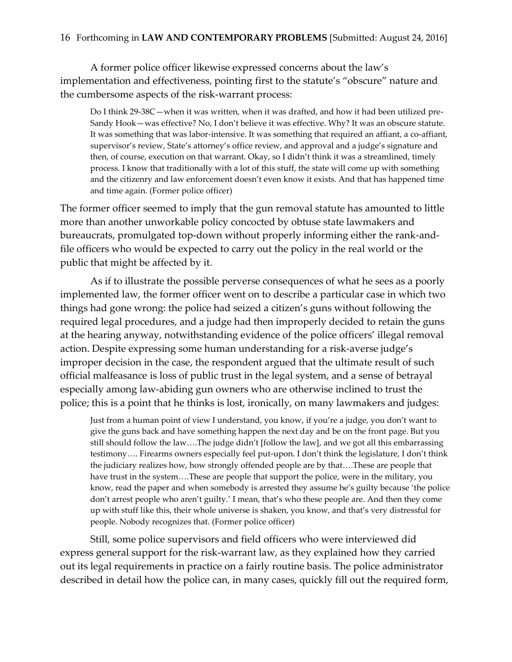A former police officer likewise expressed concerns about the law's implementation and effectiveness, pointing first to the statute's "obscure" nature and the cumbersome aspects of the risk-warrant process:

Do I think 29-38C—when it was written, when it was drafted, and how it had been utilized pre-Sandy Hook—was effective? No, I don't believe it was effective. Why? It was an obscure statute. It was something that was labor-intensive. It was something that required an affiant, a co-affiant, supervisor's review, State's attorney's office review, and approval and a judge's signature and then, of course, execution on that warrant. Okay, so I didn't think it was a streamlined, timely process. I know that traditionally with a lot of this stuff, the state will come up with something and the citizenry and law enforcement doesn't even know it exists. And that has happened time and time again. (Former police officer)

The former officer seemed to imply that the gun removal statute has amounted to little more than another unworkable policy concocted by obtuse state lawmakers and bureaucrats, promulgated top-down without properly informing either the rank-andfile officers who would be expected to carry out the policy in the real world or the public that might be affected by it.

As if to illustrate the possible perverse consequences of what he sees as a poorly implemented law, the former officer went on to describe a particular case in which two things had gone wrong: the police had seized a citizen's guns without following the required legal procedures, and a judge had then improperly decided to retain the guns at the hearing anyway, notwithstanding evidence of the police officers' illegal removal action. Despite expressing some human understanding for a risk-averse judge's improper decision in the case, the respondent argued that the ultimate result of such official malfeasance is loss of public trust in the legal system, and a sense of betrayal especially among law-abiding gun owners who are otherwise inclined to trust the police; this is a point that he thinks is lost, ironically, on many lawmakers and judges:

Just from a human point of view I understand, you know, if you're a judge, you don't want to give the guns back and have something happen the next day and be on the front page. But you still should follow the law….The judge didn't [follow the law], and we got all this embarrassing testimony…. Firearms owners especially feel put-upon. I don't think the legislature, I don't think the judiciary realizes how, how strongly offended people are by that….These are people that have trust in the system….These are people that support the police, were in the military, you know, read the paper and when somebody is arrested they assume he's guilty because 'the police don't arrest people who aren't guilty.' I mean, that's who these people are. And then they come up with stuff like this, their whole universe is shaken, you know, and that's very distressful for people. Nobody recognizes that. (Former police officer)

Still, some police supervisors and field officers who were interviewed did express general support for the risk-warrant law, as they explained how they carried out its legal requirements in practice on a fairly routine basis. The police administrator described in detail how the police can, in many cases, quickly fill out the required form,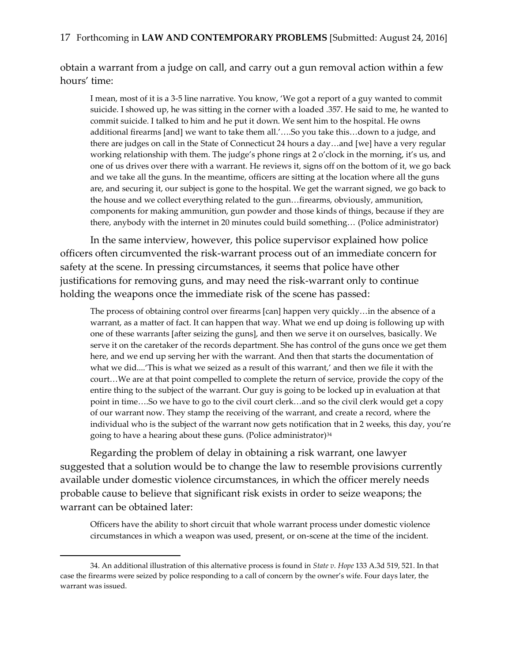obtain a warrant from a judge on call, and carry out a gun removal action within a few hours' time:

I mean, most of it is a 3-5 line narrative. You know, 'We got a report of a guy wanted to commit suicide. I showed up, he was sitting in the corner with a loaded .357. He said to me, he wanted to commit suicide. I talked to him and he put it down. We sent him to the hospital. He owns additional firearms [and] we want to take them all.'….So you take this…down to a judge, and there are judges on call in the State of Connecticut 24 hours a day…and [we] have a very regular working relationship with them. The judge's phone rings at 2 o'clock in the morning, it's us, and one of us drives over there with a warrant. He reviews it, signs off on the bottom of it, we go back and we take all the guns. In the meantime, officers are sitting at the location where all the guns are, and securing it, our subject is gone to the hospital. We get the warrant signed, we go back to the house and we collect everything related to the gun…firearms, obviously, ammunition, components for making ammunition, gun powder and those kinds of things, because if they are there, anybody with the internet in 20 minutes could build something… (Police administrator)

In the same interview, however, this police supervisor explained how police officers often circumvented the risk-warrant process out of an immediate concern for safety at the scene. In pressing circumstances, it seems that police have other justifications for removing guns, and may need the risk-warrant only to continue holding the weapons once the immediate risk of the scene has passed:

The process of obtaining control over firearms [can] happen very quickly…in the absence of a warrant, as a matter of fact. It can happen that way. What we end up doing is following up with one of these warrants [after seizing the guns], and then we serve it on ourselves, basically. We serve it on the caretaker of the records department. She has control of the guns once we get them here, and we end up serving her with the warrant. And then that starts the documentation of what we did....'This is what we seized as a result of this warrant,' and then we file it with the court…We are at that point compelled to complete the return of service, provide the copy of the entire thing to the subject of the warrant. Our guy is going to be locked up in evaluation at that point in time….So we have to go to the civil court clerk…and so the civil clerk would get a copy of our warrant now. They stamp the receiving of the warrant, and create a record, where the individual who is the subject of the warrant now gets notification that in 2 weeks, this day, you're going to have a hearing about these guns. (Police administrator)<sup>34</sup>

Regarding the problem of delay in obtaining a risk warrant, one lawyer suggested that a solution would be to change the law to resemble provisions currently available under domestic violence circumstances, in which the officer merely needs probable cause to believe that significant risk exists in order to seize weapons; the warrant can be obtained later:

Officers have the ability to short circuit that whole warrant process under domestic violence circumstances in which a weapon was used, present, or on-scene at the time of the incident.

<sup>34.</sup> An additional illustration of this alternative process is found in *State v. Hope* 133 A.3d 519, 521. In that case the firearms were seized by police responding to a call of concern by the owner's wife. Four days later, the warrant was issued.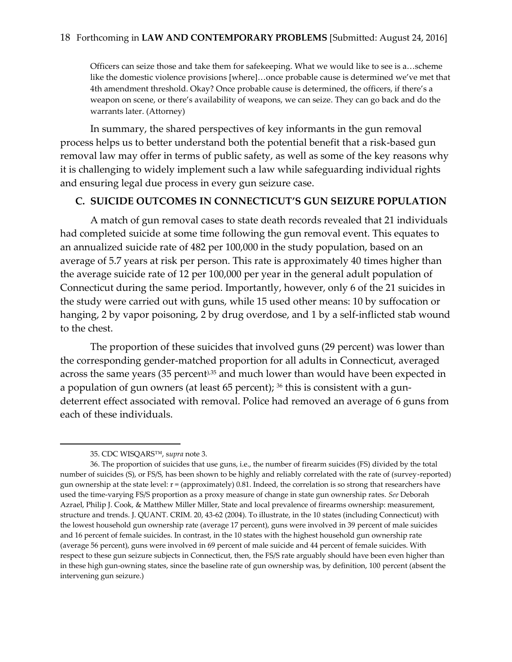Officers can seize those and take them for safekeeping. What we would like to see is a…scheme like the domestic violence provisions [where]…once probable cause is determined we've met that 4th amendment threshold. Okay? Once probable cause is determined, the officers, if there's a weapon on scene, or there's availability of weapons, we can seize. They can go back and do the warrants later. (Attorney)

In summary, the shared perspectives of key informants in the gun removal process helps us to better understand both the potential benefit that a risk-based gun removal law may offer in terms of public safety, as well as some of the key reasons why it is challenging to widely implement such a law while safeguarding individual rights and ensuring legal due process in every gun seizure case.

### **C. SUICIDE OUTCOMES IN CONNECTICUT'S GUN SEIZURE POPULATION**

A match of gun removal cases to state death records revealed that 21 individuals had completed suicide at some time following the gun removal event. This equates to an annualized suicide rate of 482 per 100,000 in the study population, based on an average of 5.7 years at risk per person. This rate is approximately 40 times higher than the average suicide rate of 12 per 100,000 per year in the general adult population of Connecticut during the same period. Importantly, however, only 6 of the 21 suicides in the study were carried out with guns, while 15 used other means: 10 by suffocation or hanging, 2 by vapor poisoning, 2 by drug overdose, and 1 by a self-inflicted stab wound to the chest.

The proportion of these suicides that involved guns (29 percent) was lower than the corresponding gender-matched proportion for all adults in Connecticut, averaged across the same years (35 percent), 35 and much lower than would have been expected in a population of gun owners (at least 65 percent); <sup>36</sup> this is consistent with a gundeterrent effect associated with removal. Police had removed an average of 6 guns from each of these individuals.

l

<sup>35.</sup> CDC WISQARS™, s*upra* note 3.

<sup>36.</sup> The proportion of suicides that use guns, i.e., the number of firearm suicides (FS) divided by the total number of suicides (S), or FS/S, has been shown to be highly and reliably correlated with the rate of (survey-reported) gun ownership at the state level: r = (approximately) 0.81. Indeed, the correlation is so strong that researchers have used the time-varying FS/S proportion as a proxy measure of change in state gun ownership rates. *See* Deborah Azrael, Philip J. Cook, & Matthew Miller Miller, State and local prevalence of firearms ownership: measurement, structure and trends. J. QUANT. CRIM. 20, 43-62 (2004). To illustrate, in the 10 states (including Connecticut) with the lowest household gun ownership rate (average 17 percent), guns were involved in 39 percent of male suicides and 16 percent of female suicides. In contrast, in the 10 states with the highest household gun ownership rate (average 56 percent), guns were involved in 69 percent of male suicide and 44 percent of female suicides. With respect to these gun seizure subjects in Connecticut, then, the FS/S rate arguably should have been even higher than in these high gun-owning states, since the baseline rate of gun ownership was, by definition, 100 percent (absent the intervening gun seizure.)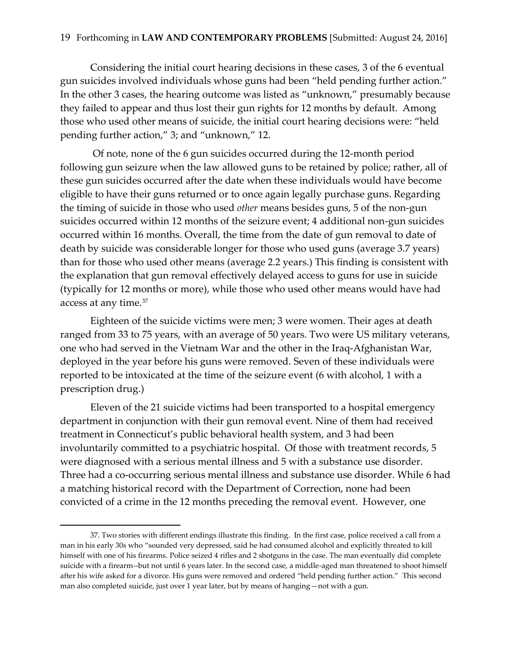Considering the initial court hearing decisions in these cases, 3 of the 6 eventual gun suicides involved individuals whose guns had been "held pending further action." In the other 3 cases, the hearing outcome was listed as "unknown," presumably because they failed to appear and thus lost their gun rights for 12 months by default. Among those who used other means of suicide, the initial court hearing decisions were: "held pending further action," 3; and "unknown," 12.

Of note, none of the 6 gun suicides occurred during the 12-month period following gun seizure when the law allowed guns to be retained by police; rather, all of these gun suicides occurred after the date when these individuals would have become eligible to have their guns returned or to once again legally purchase guns. Regarding the timing of suicide in those who used *other* means besides guns, 5 of the non-gun suicides occurred within 12 months of the seizure event; 4 additional non-gun suicides occurred within 16 months. Overall, the time from the date of gun removal to date of death by suicide was considerable longer for those who used guns (average 3.7 years) than for those who used other means (average 2.2 years.) This finding is consistent with the explanation that gun removal effectively delayed access to guns for use in suicide (typically for 12 months or more), while those who used other means would have had access at any time.<sup>37</sup>

Eighteen of the suicide victims were men; 3 were women. Their ages at death ranged from 33 to 75 years, with an average of 50 years. Two were US military veterans, one who had served in the Vietnam War and the other in the Iraq-Afghanistan War, deployed in the year before his guns were removed. Seven of these individuals were reported to be intoxicated at the time of the seizure event (6 with alcohol, 1 with a prescription drug.)

Eleven of the 21 suicide victims had been transported to a hospital emergency department in conjunction with their gun removal event. Nine of them had received treatment in Connecticut's public behavioral health system, and 3 had been involuntarily committed to a psychiatric hospital. Of those with treatment records, 5 were diagnosed with a serious mental illness and 5 with a substance use disorder. Three had a co-occurring serious mental illness and substance use disorder. While 6 had a matching historical record with the Department of Correction, none had been convicted of a crime in the 12 months preceding the removal event. However, one

 $\overline{a}$ 

<sup>37.</sup> Two stories with different endings illustrate this finding. In the first case, police received a call from a man in his early 30s who "sounded very depressed, said he had consumed alcohol and explicitly threated to kill himself with one of his firearms. Police seized 4 rifles and 2 shotguns in the case. The man eventually did complete suicide with a firearm--but not until 6 years later. In the second case, a middle-aged man threatened to shoot himself after his wife asked for a divorce. His guns were removed and ordered "held pending further action." This second man also completed suicide, just over 1 year later, but by means of hanging—not with a gun.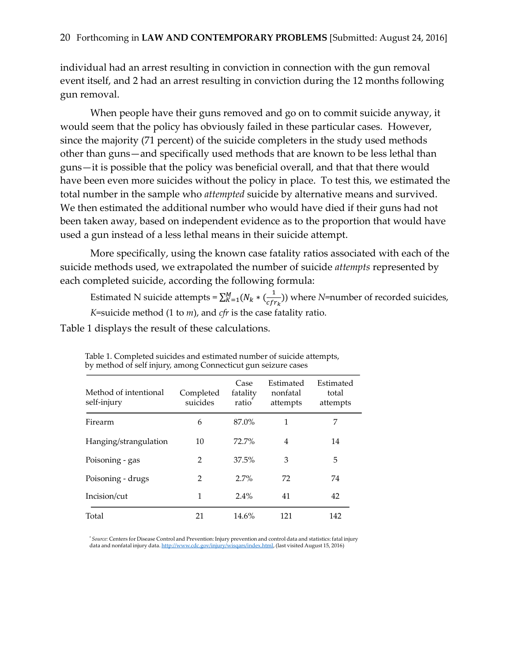individual had an arrest resulting in conviction in connection with the gun removal event itself, and 2 had an arrest resulting in conviction during the 12 months following gun removal.

When people have their guns removed and go on to commit suicide anyway, it would seem that the policy has obviously failed in these particular cases. However, since the majority (71 percent) of the suicide completers in the study used methods other than guns—and specifically used methods that are known to be less lethal than guns—it is possible that the policy was beneficial overall, and that that there would have been even more suicides without the policy in place. To test this, we estimated the total number in the sample who *attempted* suicide by alternative means and survived. We then estimated the additional number who would have died if their guns had not been taken away, based on independent evidence as to the proportion that would have used a gun instead of a less lethal means in their suicide attempt.

More specifically, using the known case fatality ratios associated with each of the suicide methods used, we extrapolated the number of suicide *attempts* represented by each completed suicide, according the following formula:

Estimated N suicide attempts =  $\sum_{K=1}^{M} (N_k * (\frac{1}{c_K})^2)$  $\frac{1}{cfr_k}$ )) where *N*=number of recorded suicides, *K*=suicide method (1 to *m*), and *cfr* is the case fatality ratio.

Table 1 displays the result of these calculations.

| Method of intentional<br>self-injury | Completed<br>suicides | Case<br>fatality<br>ratio | Estimated<br>nonfatal<br>attempts | Estimated<br>total<br>attempts |
|--------------------------------------|-----------------------|---------------------------|-----------------------------------|--------------------------------|
| Firearm                              | 6                     | 87.0%                     | 1                                 | 7                              |
| Hanging/strangulation                | 10                    | 72.7%                     | 4                                 | 14                             |
| Poisoning - gas                      | $\mathfrak{D}$        | 37.5%                     | 3                                 | 5                              |
| Poisoning - drugs                    | $\mathfrak{D}$        | 2.7%                      | 72                                | 74                             |
| Incision/cut                         | 1                     | 2.4%                      | 41                                | 42                             |
| Total                                | 21                    | 14.6%                     | 121                               | 142                            |

Table 1. Completed suicides and estimated number of suicide attempts, by method of self injury, among Connecticut gun seizure cases

\* *Source:* Centers for Disease Control and Prevention: Injury prevention and control data and statistics: fatal injury data and nonfatal injury data. http://www.cdc.gov/injury/wisqars/index.html, (last visited August 15, 2016)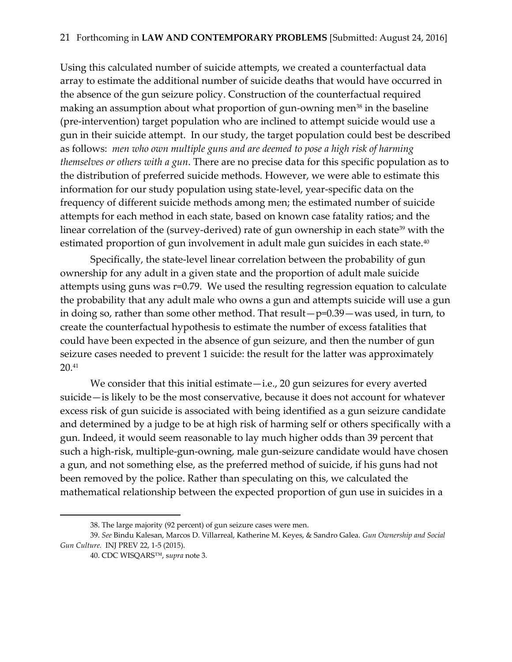Using this calculated number of suicide attempts, we created a counterfactual data array to estimate the additional number of suicide deaths that would have occurred in the absence of the gun seizure policy. Construction of the counterfactual required making an assumption about what proportion of gun-owning men<sup>38</sup> in the baseline (pre-intervention) target population who are inclined to attempt suicide would use a gun in their suicide attempt. In our study, the target population could best be described as follows: *men who own multiple guns and are deemed to pose a high risk of harming themselves or others with a gun*. There are no precise data for this specific population as to the distribution of preferred suicide methods. However, we were able to estimate this information for our study population using state-level, year-specific data on the frequency of different suicide methods among men; the estimated number of suicide attempts for each method in each state, based on known case fatality ratios; and the linear correlation of the (survey-derived) rate of gun ownership in each state<sup>39</sup> with the estimated proportion of gun involvement in adult male gun suicides in each state.<sup>40</sup>

Specifically, the state-level linear correlation between the probability of gun ownership for any adult in a given state and the proportion of adult male suicide attempts using guns was r=0.79. We used the resulting regression equation to calculate the probability that any adult male who owns a gun and attempts suicide will use a gun in doing so, rather than some other method. That result—p=0.39—was used, in turn, to create the counterfactual hypothesis to estimate the number of excess fatalities that could have been expected in the absence of gun seizure, and then the number of gun seizure cases needed to prevent 1 suicide: the result for the latter was approximately  $20.41$ 

We consider that this initial estimate—i.e., 20 gun seizures for every averted suicide—is likely to be the most conservative, because it does not account for whatever excess risk of gun suicide is associated with being identified as a gun seizure candidate and determined by a judge to be at high risk of harming self or others specifically with a gun. Indeed, it would seem reasonable to lay much higher odds than 39 percent that such a high-risk, multiple-gun-owning, male gun-seizure candidate would have chosen a gun, and not something else, as the preferred method of suicide, if his guns had not been removed by the police. Rather than speculating on this, we calculated the mathematical relationship between the expected proportion of gun use in suicides in a

<sup>38.</sup> The large majority (92 percent) of gun seizure cases were men.

<sup>39.</sup> *See* Bindu Kalesan, Marcos D. Villarreal, Katherine M. Keyes, & Sandro Galea. *Gun Ownership and Social Gun Culture.* INJ PREV 22, 1-5 (2015).

<sup>40.</sup> CDC WISQARS™, s*upra* note 3.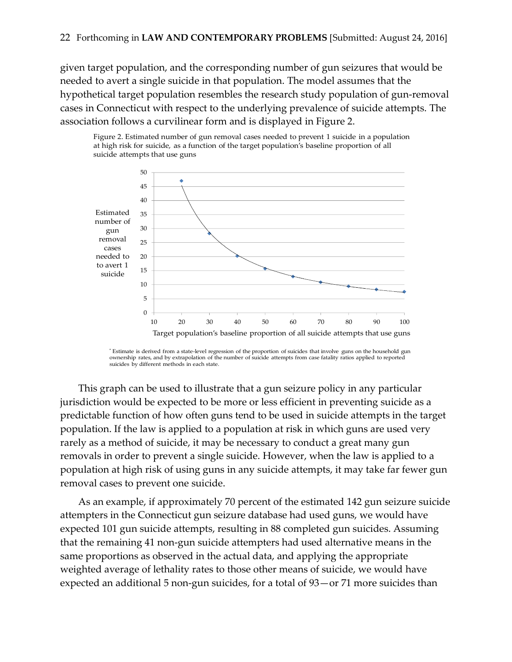given target population, and the corresponding number of gun seizures that would be needed to avert a single suicide in that population. The model assumes that the hypothetical target population resembles the research study population of gun-removal cases in Connecticut with respect to the underlying prevalence of suicide attempts. The association follows a curvilinear form and is displayed in Figure 2.



Figure 2. Estimated number of gun removal cases needed to prevent 1 suicide in a population at high risk for suicide, as a function of the target population's baseline proportion of all suicide attempts that use guns

This graph can be used to illustrate that a gun seizure policy in any particular jurisdiction would be expected to be more or less efficient in preventing suicide as a predictable function of how often guns tend to be used in suicide attempts in the target population. If the law is applied to a population at risk in which guns are used very rarely as a method of suicide, it may be necessary to conduct a great many gun removals in order to prevent a single suicide. However, when the law is applied to a population at high risk of using guns in any suicide attempts, it may take far fewer gun removal cases to prevent one suicide.

As an example, if approximately 70 percent of the estimated 142 gun seizure suicide attempters in the Connecticut gun seizure database had used guns, we would have expected 101 gun suicide attempts, resulting in 88 completed gun suicides. Assuming that the remaining 41 non-gun suicide attempters had used alternative means in the same proportions as observed in the actual data, and applying the appropriate weighted average of lethality rates to those other means of suicide, we would have expected an additional 5 non-gun suicides, for a total of 93—or 71 more suicides than

<sup>\*</sup> Estimate is derived from a state-level regression of the proportion of suicides that involve guns on the household gun ownership rates, and by extrapolation of the number of suicide attempts from case fatality ratios applied to reported suicides by different methods in each state.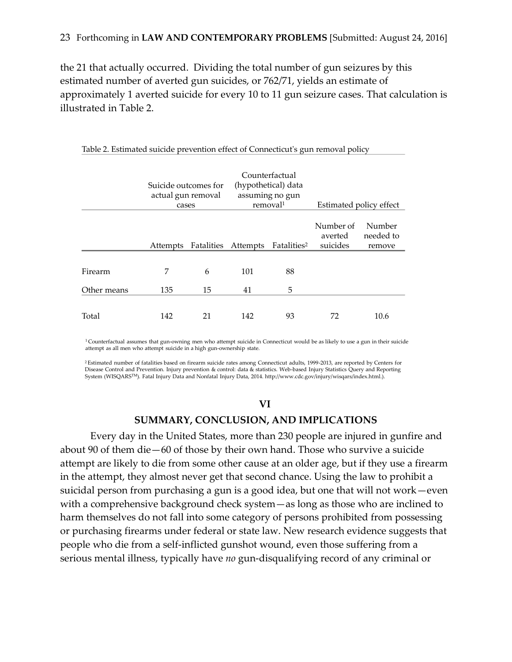the 21 that actually occurred. Dividing the total number of gun seizures by this estimated number of averted gun suicides, or 762/71, yields an estimate of approximately 1 averted suicide for every 10 to 11 gun seizure cases. That calculation is illustrated in Table 2.

|                      | Suicide outcomes for<br>actual gun removal<br>cases |                     | Counterfactual<br>(hypothetical) data<br>assuming no gun<br>removal <sup>1</sup> |                         | Estimated policy effect          |                               |
|----------------------|-----------------------------------------------------|---------------------|----------------------------------------------------------------------------------|-------------------------|----------------------------------|-------------------------------|
|                      | Attempts                                            | Fatalities Attempts |                                                                                  | Fatalities <sup>2</sup> | Number of<br>averted<br>suicides | Number<br>needed to<br>remove |
| Firearm              | 7                                                   | 6                   | 101                                                                              | 88                      |                                  |                               |
| Other means<br>Total | 135<br>142                                          | 15<br>21            | 41<br>142                                                                        | 5<br>93                 | 72                               | 10.6                          |

Table 2. Estimated suicide prevention effect of Connecticut's gun removal policy

<sup>1</sup>Counterfactual assumes that gun-owning men who attempt suicide in Connecticut would be as likely to use a gun in their suicide attempt as all men who attempt suicide in a high gun-ownership state.

<sup>2</sup>Estimated number of fatalities based on firearm suicide rates among Connecticut adults, 1999-2013, are reported by Centers for Disease Control and Prevention. Injury prevention & control: data & statistics. Web-based Injury Statistics Query and Reporting System (WISQARSTM). Fatal Injury Data and Nonfatal Injury Data, 2014. http://www.cdc.gov/injury/wisqars/index.html.).

#### **VI**

### **SUMMARY, CONCLUSION, AND IMPLICATIONS**

Every day in the United States, more than 230 people are injured in gunfire and about 90 of them die—60 of those by their own hand. Those who survive a suicide attempt are likely to die from some other cause at an older age, but if they use a firearm in the attempt, they almost never get that second chance. Using the law to prohibit a suicidal person from purchasing a gun is a good idea, but one that will not work—even with a comprehensive background check system—as long as those who are inclined to harm themselves do not fall into some category of persons prohibited from possessing or purchasing firearms under federal or state law. New research evidence suggests that people who die from a self-inflicted gunshot wound, even those suffering from a serious mental illness, typically have *no* gun-disqualifying record of any criminal or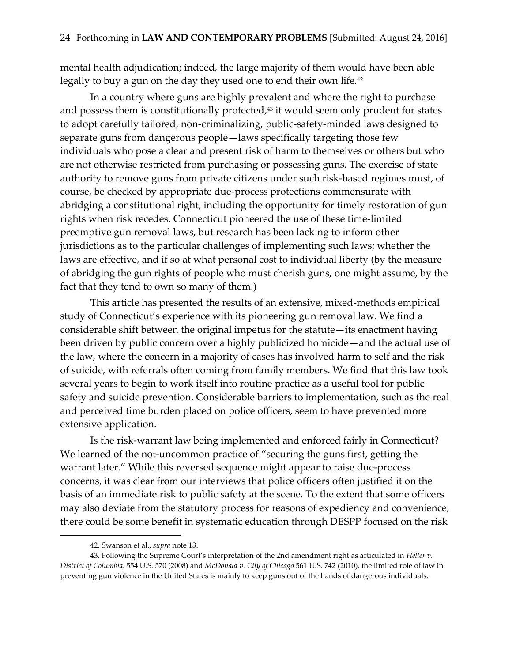mental health adjudication; indeed, the large majority of them would have been able legally to buy a gun on the day they used one to end their own life.<sup>42</sup>

In a country where guns are highly prevalent and where the right to purchase and possess them is constitutionally protected, $43$  it would seem only prudent for states to adopt carefully tailored, non-criminalizing, public-safety-minded laws designed to separate guns from dangerous people—laws specifically targeting those few individuals who pose a clear and present risk of harm to themselves or others but who are not otherwise restricted from purchasing or possessing guns. The exercise of state authority to remove guns from private citizens under such risk-based regimes must, of course, be checked by appropriate due-process protections commensurate with abridging a constitutional right, including the opportunity for timely restoration of gun rights when risk recedes. Connecticut pioneered the use of these time-limited preemptive gun removal laws, but research has been lacking to inform other jurisdictions as to the particular challenges of implementing such laws; whether the laws are effective, and if so at what personal cost to individual liberty (by the measure of abridging the gun rights of people who must cherish guns, one might assume, by the fact that they tend to own so many of them.)

This article has presented the results of an extensive, mixed-methods empirical study of Connecticut's experience with its pioneering gun removal law. We find a considerable shift between the original impetus for the statute—its enactment having been driven by public concern over a highly publicized homicide—and the actual use of the law, where the concern in a majority of cases has involved harm to self and the risk of suicide, with referrals often coming from family members. We find that this law took several years to begin to work itself into routine practice as a useful tool for public safety and suicide prevention. Considerable barriers to implementation, such as the real and perceived time burden placed on police officers, seem to have prevented more extensive application.

Is the risk-warrant law being implemented and enforced fairly in Connecticut? We learned of the not-uncommon practice of "securing the guns first, getting the warrant later." While this reversed sequence might appear to raise due-process concerns, it was clear from our interviews that police officers often justified it on the basis of an immediate risk to public safety at the scene. To the extent that some officers may also deviate from the statutory process for reasons of expediency and convenience, there could be some benefit in systematic education through DESPP focused on the risk

<sup>42.</sup> Swanson et al., *supra* note 13.

<sup>43.</sup> Following the Supreme Court's interpretation of the 2nd amendment right as articulated in *Heller v. District of Columbia,* 554 U.S. 570 (2008) and *McDonald v. City of Chicago* 561 U.S. 742 (2010), the limited role of law in preventing gun violence in the United States is mainly to keep guns out of the hands of dangerous individuals.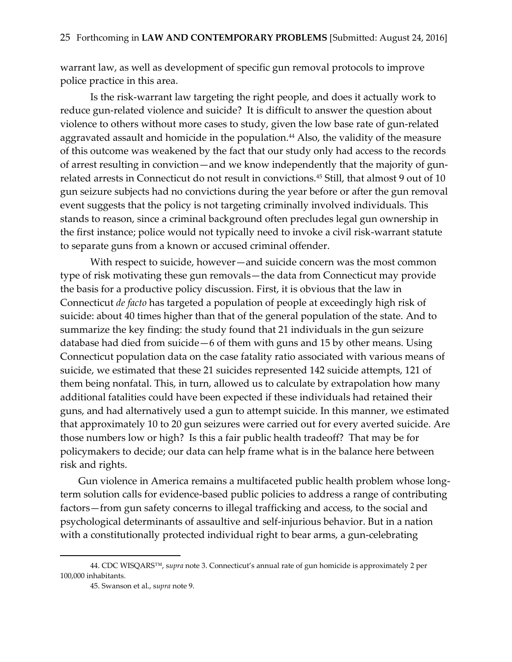warrant law, as well as development of specific gun removal protocols to improve police practice in this area.

Is the risk-warrant law targeting the right people, and does it actually work to reduce gun-related violence and suicide? It is difficult to answer the question about violence to others without more cases to study, given the low base rate of gun-related aggravated assault and homicide in the population. <sup>44</sup> Also, the validity of the measure of this outcome was weakened by the fact that our study only had access to the records of arrest resulting in conviction—and we know independently that the majority of gunrelated arrests in Connecticut do not result in convictions.<sup>45</sup> Still, that almost 9 out of 10 gun seizure subjects had no convictions during the year before or after the gun removal event suggests that the policy is not targeting criminally involved individuals. This stands to reason, since a criminal background often precludes legal gun ownership in the first instance; police would not typically need to invoke a civil risk-warrant statute to separate guns from a known or accused criminal offender.

With respect to suicide, however—and suicide concern was the most common type of risk motivating these gun removals—the data from Connecticut may provide the basis for a productive policy discussion. First, it is obvious that the law in Connecticut *de facto* has targeted a population of people at exceedingly high risk of suicide: about 40 times higher than that of the general population of the state. And to summarize the key finding: the study found that 21 individuals in the gun seizure database had died from suicide—6 of them with guns and 15 by other means. Using Connecticut population data on the case fatality ratio associated with various means of suicide, we estimated that these 21 suicides represented 142 suicide attempts, 121 of them being nonfatal. This, in turn, allowed us to calculate by extrapolation how many additional fatalities could have been expected if these individuals had retained their guns, and had alternatively used a gun to attempt suicide. In this manner, we estimated that approximately 10 to 20 gun seizures were carried out for every averted suicide. Are those numbers low or high? Is this a fair public health tradeoff? That may be for policymakers to decide; our data can help frame what is in the balance here between risk and rights.

Gun violence in America remains a multifaceted public health problem whose longterm solution calls for evidence-based public policies to address a range of contributing factors—from gun safety concerns to illegal trafficking and access, to the social and psychological determinants of assaultive and self-injurious behavior. But in a nation with a constitutionally protected individual right to bear arms, a gun-celebrating

<sup>44.</sup> CDC WISQARS™, s*upra* note 3. Connecticut's annual rate of gun homicide is approximately 2 per 100,000 inhabitants.

<sup>45.</sup> Swanson et al., s*upra* note 9.